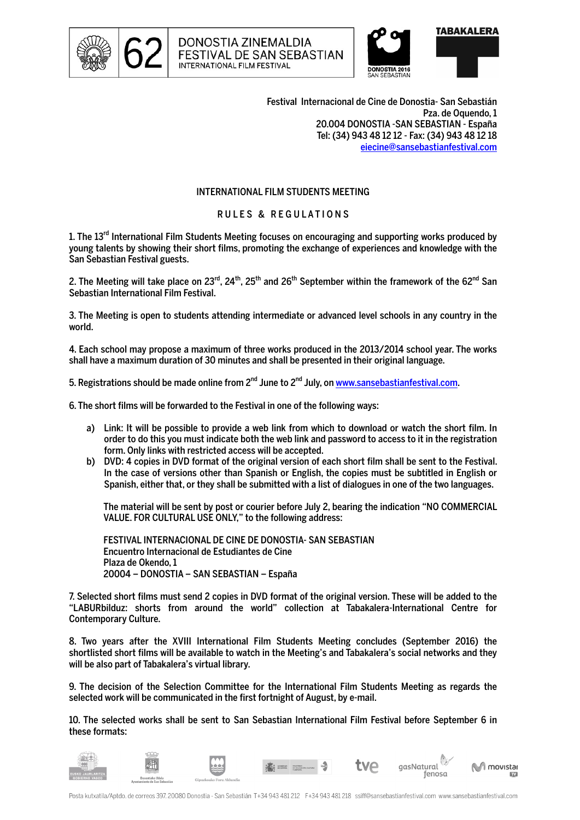





Festival Internacional de Cine de Donostia- San Sebastián Pza. de Oquendo, 1 20.004 DONOSTIA -SAN SEBASTIAN - España Tel: (34) 943 48 12 12 - Fax: (34) 943 48 12 18 eiecine@sansebastianfestival.com

## INTERNATIONAL FILM STUDENTS MEETING

## RULES & REGULATIONS

1. The 13<sup>rd</sup> International Film Students Meeting focuses on encouraging and supporting works produced by young talents by showing their short films, promoting the exchange of experiences and knowledge with the San Sebastian Festival guests.

2. The Meeting will take place on  $23^{\text{rd}}$ ,  $24^{\text{th}}$ ,  $25^{\text{th}}$  and  $26^{\text{th}}$  September within the framework of the 62<sup>nd</sup> San Sebastian International Film Festival.

3. The Meeting is open to students attending intermediate or advanced level schools in any country in the world.

4. Each school may propose a maximum of three works produced in the 2013/2014 school year. The works shall have a maximum duration of 30 minutes and shall be presented in their original language.

5. Registrations should be made online from  $2^{nd}$  June to  $2^{nd}$  July, on www.sansebastianfestival.com.

6. The short films will be forwarded to the Festival in one of the following ways:

- a) Link: It will be possible to provide a web link from which to download or watch the short film. In order to do this you must indicate both the web link and password to access to it in the registration form. Only links with restricted access will be accepted.
- b) DVD: 4 copies in DVD format of the original version of each short film shall be sent to the Festival. In the case of versions other than Spanish or English, the copies must be subtitled in English or Spanish, either that, or they shall be submitted with a list of dialogues in one of the two languages.

The material will be sent by post or courier before July 2, bearing the indication "NO COMMERCIAL VALUE. FOR CULTURAL USE ONLY," to the following address:

FESTIVAL INTERNACIONAL DE CINE DE DONOSTIA- SAN SEBASTIAN Encuentro Internacional de Estudiantes de Cine Plaza de Okendo, 1 20004 – DONOSTIA – SAN SEBASTIAN – España

7. Selected short films must send 2 copies in DVD format of the original version. These will be added to the "LABURbilduz: shorts from around the world" collection at Tabakalera-International Centre for Contemporary Culture.

8. Two years after the XVIII International Film Students Meeting concludes (September 2016) the shortlisted short films will be available to watch in the Meeting's and Tabakalera's social networks and they will be also part of Tabakalera's virtual library.

9. The decision of the Selection Committee for the International Film Students Meeting as regards the selected work will be communicated in the first fortnight of August, by e-mail.

10. The selected works shall be sent to San Sebastian International Film Festival before September 6 in these formats:

gasNatural

I movistar